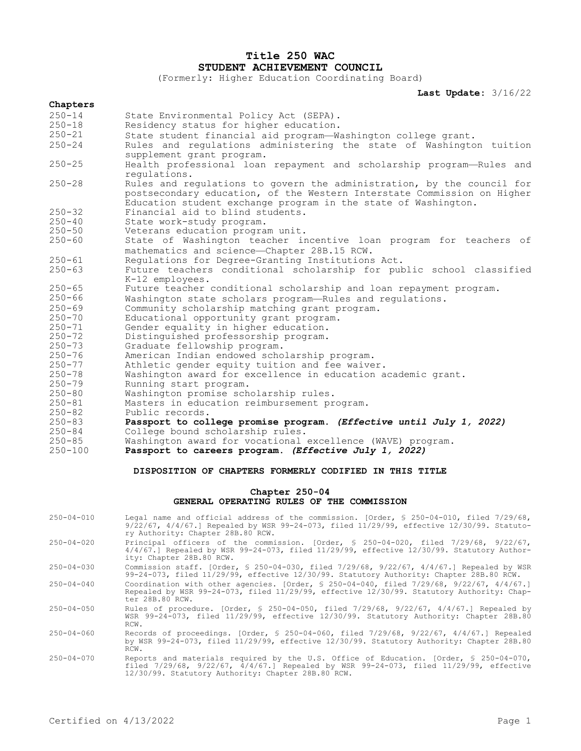# **Title 250 WAC STUDENT ACHIEVEMENT COUNCIL**

(Formerly: Higher Education Coordinating Board)

**Last Update:** 3/16/22

## **Chapters** 250-14 State Environmental Policy Act (SEPA). 250-18 Residency status for higher education.<br>250-21 State student financial aid program—W. 250-21 State student financial aid program—Washington college grant. 250-24 Rules and regulations administering the state of Washington tuition supplement grant program. 250-25 Health professional loan repayment and scholarship program—Rules and regulations. 250-28 Rules and regulations to govern the administration, by the council for postsecondary education, of the Western Interstate Commission on Higher Education student exchange program in the state of Washington. 250-32 Financial aid to blind students. 250-40 State work-study program. 250-50 Veterans education program unit. State of Washington teacher incentive loan program for teachers of mathematics and science—Chapter 28B.15 RCW. 250-61 Regulations for Degree-Granting Institutions Act. Future teachers conditional scholarship for public school classified K-12 employees. 250-65 Future teacher conditional scholarship and loan repayment program. 250-66 Washington state scholars program—Rules and regulations. 250-69 Community scholarship matching grant program. 250-70 Educational opportunity grant program. 250-71 Gender equality in higher education. 250-72 Distinguished professorship program. 250-73 Graduate fellowship program. 250-76 American Indian endowed scholarship program. 250-77 Athletic gender equity tuition and fee waiver. 250-78 Washington award for excellence in education academic grant. 250-79 Running start program. 250-80 Washington promise scholarship rules. 250-81 Masters in education reimbursement program. 250-82 Public records.<br>250-83 **Passport to col** 250-83 **Passport to college promise program.** *(Effective until July 1, 2022)* 250-84 College bound scholarship rules. 250-85 Washington award for vocational excellence (WAVE) program.<br>250-100 **Passport to careers program. (Effective July 1, 2022)** Passport to careers program. *(Effective July 1, 2022)*

## **DISPOSITION OF CHAPTERS FORMERLY CODIFIED IN THIS TITLE**

## **Chapter 250-04 GENERAL OPERATING RULES OF THE COMMISSION**

| $250 - 04 - 010$ | Legal name and official address of the commission. [Order, § 250-04-010, filed 7/29/68,<br>$9/22/67$ , $4/4/67$ .] Repealed by WSR 99-24-073, filed 11/29/99, effective 12/30/99. Statuto-<br>ry Authority: Chapter 28B.80 RCW.                    |
|------------------|----------------------------------------------------------------------------------------------------------------------------------------------------------------------------------------------------------------------------------------------------|
| $250 - 04 - 020$ | Principal officers of the commission. [Order, $\frac{1}{2}$ 250-04-020, filed 7/29/68, 9/22/67,<br>$4/4/67$ . Repealed by WSR 99-24-073, filed $11/29/99$ , effective $12/30/99$ . Statutory Author-<br>ity: Chapter 28B.80 RCW.                   |
| $250 - 04 - 030$ | Commission staff. [Order, § 250-04-030, filed 7/29/68, 9/22/67, 4/4/67.] Repealed by WSR<br>99-24-073, filed 11/29/99, effective 12/30/99. Statutory Authority: Chapter 28B.80 RCW.                                                                |
| $250 - 04 - 040$ | Coordination with other agencies. [Order, $\frac{1}{2}$ 250-04-040, filed 7/29/68, 9/22/67, 4/4/67.]<br>Repealed by WSR 99-24-073, filed 11/29/99, effective 12/30/99. Statutory Authority: Chap-<br>ter 28B.80 RCW.                               |
| $250 - 04 - 050$ | Rules of procedure. [Order, § 250-04-050, filed 7/29/68, 9/22/67, 4/4/67.] Repealed by<br>WSR 99-24-073, filed 11/29/99, effective 12/30/99. Statutory Authority: Chapter 28B.80<br>RCW.                                                           |
| $250 - 04 - 060$ | Records of proceedings. [Order, § 250-04-060, filed 7/29/68, 9/22/67, 4/4/67.] Repealed<br>by WSR 99-24-073, filed 11/29/99, effective 12/30/99. Statutory Authority: Chapter 28B.80<br>RCW.                                                       |
| $250 - 04 - 070$ | Reports and materials required by the U.S. Office of Education. [Order, § 250-04-070,<br>filed $7/29/68$ , $9/22/67$ , $4/4/67$ . Repealed by WSR $99-24-073$ , filed $11/29/99$ , effective<br>12/30/99. Statutory Authority: Chapter 28B.80 RCW. |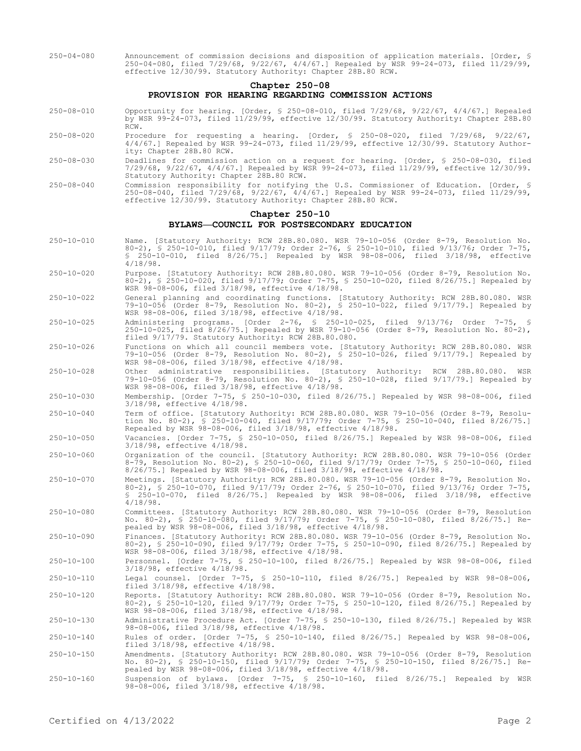250-04-080 Announcement of commission decisions and disposition of application materials. [Order, § 250-04-080, filed 7/29/68, 9/22/67, 4/4/67.] Repealed by WSR 99-24-073, filed 11/29/99, effective 12/30/99. Statutory Authority: Chapter 28B.80 RCW.

## **Chapter 250-08 PROVISION FOR HEARING REGARDING COMMISSION ACTIONS**

- 250-08-010 Opportunity for hearing. [Order, § 250-08-010, filed 7/29/68, 9/22/67, 4/4/67.] Repealed by WSR 99-24-073, filed 11/29/99, effective 12/30/99. Statutory Authority: Chapter 28B.80 RCW.
- 250-08-020 Procedure for requesting a hearing. [Order, § 250-08-020, filed 7/29/68, 9/22/67, 4/4/67.] Repealed by WSR 99-24-073, filed 11/29/99, effective 12/30/99. Statutory Authority: Chapter 28B.80 RCW.
- 250-08-030 Deadlines for commission action on a request for hearing. [Order, § 250-08-030, filed 7/29/68, 9/22/67, 4/4/67.] Repealed by WSR 99-24-073, filed 11/29/99, effective 12/30/99. Statutory Authority: Chapter 28B.80 RCW.
- 250-08-040 Commission responsibility for notifying the U.S. Commissioner of Education. [Order, § 250-08-040, filed 7/29/68, 9/22/67, 4/4/67.] Repealed by WSR 99-24-073, filed 11/29/99, effective 12/30/99. Statutory Authority: Chapter 28B.80 RCW.

### **Chapter 250-10**

#### **BYLAWS—COUNCIL FOR POSTSECONDARY EDUCATION**

- 250-10-010 Name. [Statutory Authority: RCW 28B.80.080. WSR 79-10-056 (Order 8-79, Resolution No. 80-2), § 250-10-010, filed 9/17/79; Order 2-76, § 250-10-010, filed 9/13/76; Order 7-75, § 250-10-010, filed 8/26/75.] Repealed by WSR 98-08-006, filed 3/18/98, effective 4/18/98.
- 250-10-020 Purpose. [Statutory Authority: RCW 28B.80.080. WSR 79-10-056 (Order 8-79, Resolution No. 80-2), § 250-10-020, filed 9/17/79; Order 7-75, § 250-10-020, filed 8/26/75.] Repealed by WSR 98-08-006, filed 3/18/98, effective 4/18/98.
- 250-10-022 General planning and coordinating functions. [Statutory Authority: RCW 28B.80.080. WSR 79-10-056 (Order 8-79, Resolution No. 80-2), § 250-10-022, filed 9/17/79.] Repealed by WSR 98-08-006, filed 3/18/98, effective 4/18/98.
- 250-10-025 Administering programs. [Order 2-76, § 250-10-025, filed 9/13/76; Order 7-75, § 250-10-025, filed 8/26/75.] Repealed by WSR 79-10-056 (Order 8-79, Resolution No. 80-2), filed 9/17/79. Statutory Authority: RCW 28B.80.080.
- 250-10-026 Functions on which all council members vote. [Statutory Authority: RCW 28B.80.080. WSR 79-10-056 (Order 8-79, Resolution No. 80-2), § 250-10-026, filed 9/17/79.] Repealed by WSR 98-08-006, filed 3/18/98, effective 4/18/98.
- 250-10-028 Other administrative responsibilities. [Statutory Authority: RCW 28B.80.080. WSR 79-10-056 (Order 8-79, Resolution No. 80-2), § 250-10-028, filed 9/17/79.] Repealed by WSR 98-08-006, filed 3/18/98, effective 4/18/98.
- 250-10-030 Membership. [Order 7-75, § 250-10-030, filed 8/26/75.] Repealed by WSR 98-08-006, filed 3/18/98, effective 4/18/98.
- 250-10-040 Term of office. [Statutory Authority: RCW 28B.80.080. WSR 79-10-056 (Order 8-79, Resolution No. 80-2), § 250-10-040, filed 9/17/79; Order 7-75, § 250-10-040, filed 8/26/75.] Repealed by WSR 98-08-006, filed 3/18/98, effective 4/18/98.

250-10-050 Vacancies. [Order 7-75, § 250-10-050, filed 8/26/75.] Repealed by WSR 98-08-006, filed 3/18/98, effective 4/18/98.

- 250-10-060 Organization of the council. [Statutory Authority: RCW 28B.80.080. WSR 79-10-056 (Order 8-79, Resolution No. 80-2), § 250-10-060, filed 9/17/79; Order 7-75, § 250-10-060, filed 8/26/75.] Repealed by WSR 98-08-006, filed 3/18/98, effective 4/18/98.
- 250-10-070 Meetings. [Statutory Authority: RCW 28B.80.080. WSR 79-10-056 (Order 8-79, Resolution No. 80-2), § 250-10-070, filed 9/17/79; Order 2-76, § 250-10-070, filed 9/13/76; Order 7-75, § 250-10-070, filed 8/26/75.] Repealed by WSR 98-08-006, filed 3/18/98, effective 4/18/98.
- 250-10-080 Committees. [Statutory Authority: RCW 28B.80.080. WSR 79-10-056 (Order 8-79, Resolution No. 80-2), § 250-10-080, filed 9/17/79; Order 7-75, § 250-10-080, filed 8/26/75.] Repealed by WSR 98-08-006, filed 3/18/98, effective 4/18/98.
- 250-10-090 Finances. [Statutory Authority: RCW 28B.80.080. WSR 79-10-056 (Order 8-79, Resolution No. 80-2), § 250-10-090, filed 9/17/79; Order 7-75, § 250-10-090, filed 8/26/75.] Repealed by WSR 98-08-006, filed 3/18/98, effective 4/18/98.

250-10-100 Personnel. [Order 7-75, § 250-10-100, filed 8/26/75.] Repealed by WSR 98-08-006, filed 3/18/98, effective 4/18/98.

250-10-110 Legal counsel. [Order 7-75, § 250-10-110, filed 8/26/75.] Repealed by WSR 98-08-006, Legal counsel. [Order 7-75, § 2<br>filed  $3/18/98$ , effective  $4/18/98$ .

250-10-120 Reports. [Statutory Authority: RCW 28B.80.080. WSR 79-10-056 (Order 8-79, Resolution No. 80-2), § 250-10-120, filed 9/17/79; Order 7-75, § 250-10-120, filed 8/26/75.] Repealed by WSR 98-08-006, filed 3/18/98, effective 4/18/98.

250-10-130 Administrative Procedure Act. [Order 7-75, § 250-10-130, filed 8/26/75.] Repealed by WSR 98-08-006, filed 3/18/98, effective 4/18/98.

250-10-140 Rules of order. [Order 7-75, § 250-10-140, filed 8/26/75.] Repealed by WSR 98-08-006, filed 3/18/98, effective 4/18/98.

- 250-10-150 Amendments. [Statutory Authority: RCW 28B.80.080. WSR 79-10-056 (Order 8-79, Resolution No. 80-2), § 250-10-150, filed 9/17/79; Order 7-75, § 250-10-150, filed 8/26/75.] Repealed by WSR 98-08-006, filed 3/18/98, effective 4/18/98.
- 250-10-160 Suspension of bylaws. [Order 7-75, § 250-10-160, filed 8/26/75.] Repealed by WSR 98-08-006, filed 3/18/98, effective 4/18/98.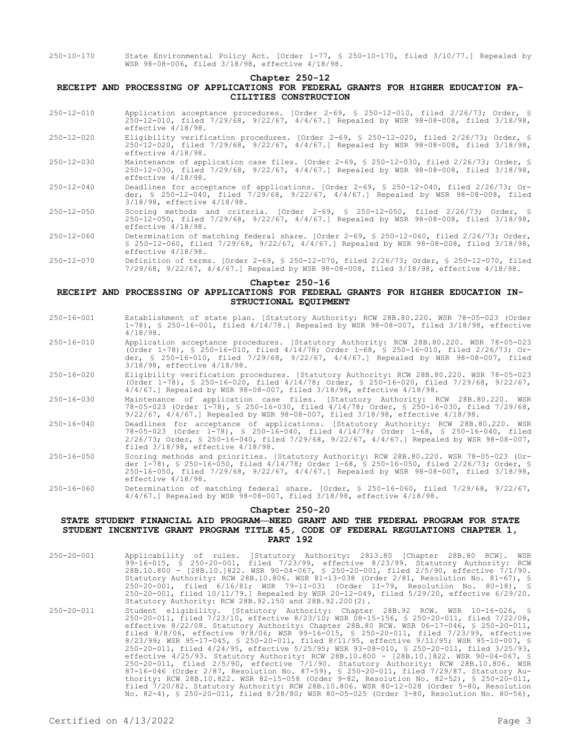250-10-170 State Environmental Policy Act. [Order 1-77, § 250-10-170, filed 3/10/77.] Repealed by WSR 98-08-006, filed 3/18/98, effective 4/18/98.

#### **Chapter 250-12**

## **RECEIPT AND PROCESSING OF APPLICATIONS FOR FEDERAL GRANTS FOR HIGHER EDUCATION FA-CILITIES CONSTRUCTION**

- 250-12-010 Application acceptance procedures. [Order 2-69, § 250-12-010, filed 2/26/73; Order, § 250-12-010, filed 7/29/68, 9/22/67, 4/4/67.] Repealed by WSR 98-08-008, filed 3/18/98, effective 4/18/98.
- 250-12-020 Eligibility verification procedures. [Order 2-69, § 250-12-020, filed 2/26/73; Order, § 250-12-020, filed 7/29/68, 9/22/67, 4/4/67.] Repealed by WSR 98-08-008, filed 3/18/98, effective 4/18/98.
- 250-12-030 Maintenance of application case files. [Order 2-69, § 250-12-030, filed 2/26/73; Order, § 250-12-030, filed 7/29/68, 9/22/67, 4/4/67.] Repealed by WSR 98-08-008, filed 3/18/98, effective 4/18/98.
- 250-12-040 Deadlines for acceptance of applications. [Order 2-69, § 250-12-040, filed 2/26/73; Order, § 250-12-040, filed 7/29/68, 9/22/67, 4/4/67.] Repealed by WSR 98-08-008, filed 3/18/98, effective 4/18/98.
- 250-12-050 Scoring methods and criteria. [Order 2-69, § 250-12-050, filed 2/26/73; Order, § 250-12-050, filed 7/29/68, 9/22/67, 4/4/67.] Repealed by WSR 98-08-008, filed 3/18/98, effective 4/18/98.
- 250-12-060 Determination of matching federal share. [Order 2-69, § 250-12-060, filed 2/26/73; Order, § 250-12-060, filed 7/29/68, 9/22/67, 4/4/67.] Repealed by WSR 98-08-008, filed 3/18/98, effective 4/18/98.
- 250-12-070 Definition of terms. [Order 2-69, § 250-12-070, filed 2/26/73; Order, § 250-12-070, filed 7/29/68, 9/22/67, 4/4/67.] Repealed by WSR 98-08-008, filed 3/18/98, effective 4/18/98.

### **Chapter 250-16**

## **RECEIPT AND PROCESSING OF APPLICATIONS FOR FEDERAL GRANTS FOR HIGHER EDUCATION IN-STRUCTIONAL EQUIPMENT**

- 250-16-001 Establishment of state plan. [Statutory Authority: RCW 28B.80.220. WSR 78-05-023 (Order 1-78), § 250-16-001, filed 4/14/78.] Repealed by WSR 98-08-007, filed 3/18/98, effective 4/18/98.
- 250-16-010 Application acceptance procedures. [Statutory Authority: RCW 28B.80.220. WSR 78-05-023 (Order 1-78), § 250-16-010, filed 4/14/78; Order 1-68, § 250-16-010, filed 2/26/73; Order, § 250-16-010, filed 7/29/68, 9/22/67, 4/4/67.] Repealed by WSR 98-08-007, filed 3/18/98, effective 4/18/98.
- 250-16-020 Eligibility verification procedures. [Statutory Authority: RCW 28B.80.220. WSR 78-05-023 (Order 1-78), § 250-16-020, filed 4/14/78; Order, § 250-16-020, filed 7/29/68, 9/22/67, 4/4/67.] Repealed by WSR 98-08-007, filed 3/18/98, effective 4/18/98.
- 250-16-030 Maintenance of application case files. [Statutory Authority: RCW 28B.80.220. WSR 78-05-023 (Order 1-78), § 250-16-030, filed 4/14/78; Order, § 250-16-030, filed 7/29/68, 9/22/67, 4/4/67.] Repealed by WSR 98-08-007, filed 3/18/98, effective 4/18/98.
- 250-16-040 Deadlines for acceptance of applications. [Statutory Authority: RCW 28B.80.220. WSR 78-05-023 (Order 1-78), § 250-16-040, filed 4/14/78; Order 1-68, § 250-16-040, filed 2/26/73; Order, § 250-16-040, filed 7/29/68, 9/22/67, 4/4/67.] Repealed by WSR 98-08-007, filed 3/18/98, effective 4/18/98.
- 250-16-050 Scoring methods and priorities. [Statutory Authority: RCW 28B.80.220. WSR 78-05-023 (Order 1-78), § 250-16-050, filed 4/14/78; Order 1-68, § 250-16-050, filed 2/26/73; Order, § 250-16-050, filed 7/29/68, 9/22/67, 4/4/67.] Repealed by WSR 98-08-007, filed 3/18/98, effective 4/18/98.
- 250-16-060 Determination of matching federal share. [Order, § 250-16-060, filed 7/29/68, 9/22/67, 4/4/67.] Repealed by WSR 98-08-007, filed 3/18/98, effective 4/18/98.

#### **Chapter 250-20**

## **STATE STUDENT FINANCIAL AID PROGRAM—NEED GRANT AND THE FEDERAL PROGRAM FOR STATE STUDENT INCENTIVE GRANT PROGRAM TITLE 45, CODE OF FEDERAL REGULATIONS CHAPTER 1, PART 192**

- 250-20-001 Applicability of rules. [Statutory Authority: 2813.80 [Chapter 28B.80 RCW]. WSR 99-16-015, § 250-20-001, filed 7/23/99, effective 8/23/99. Statutory Authority: RCW 28B.10.800 - [28B.10.]822. WSR 90-04-067, § 250-20-001, filed 2/5/90, effective 7/1/90. Statutory Authority: RCW 28B.10.806. WSR 81-13-038 (Order 2/81, Resolution No. 81-67), § 250-20-001, filed 6/16/81; WSR 79-11-031 (Order 11-79, Resolution No. 80-18), § 250-20-001, filed 10/11/79.] Repealed by WSR 20-12-049, filed 5/29/20, effective 6/29/20. Statutory Authority: RCW 28B.92.150 and 28B.92.200(2).
- 250-20-011 Student eligibility. [Statutory Authority: Chapter 28B.92 RCW. WSR 10-16-026, § 250-20-011, filed 7/23/10, effective 8/23/10; WSR 08-15-156, § 250-20-011, filed 7/22/08, effective 8/22/08. Statutory Authority: Chapter 28B.80 RCW. WSR 06-17-046, § 250-20-011, filed 8/8/06, effective 9/8/06; WSR 99-16-015, § 250-20-011, filed 7/23/99, effective 8/23/99; WSR 95-17-045, § 250-20-011, filed 8/11/95, effective 9/11/95; WSR 95-10-007, § 250-20-011, filed 4/24/95, effective 5/25/95; WSR 93-08-010, § 250-20-011, filed 3/25/93, effective 4/25/93. Statutory Authority: RCW 28B.10.800 - [28B.10.]822. WSR 90-04-067, § 250-20-011, filed 2/5/90, effective 7/1/90. Statutory Authority: RCW 28B.10.806. WSR 87-16-046 (Order 2/87, Resolution No. 87-59), § 250-20-011, filed 7/29/87. Statutory Authority: RCW 28B.10.822. WSR 82-15-058 (Order 9-82, Resolution No. 82-52), § 250-20-011, filed 7/20/82. Statutory Authority: RCW 28B.10.806. WSR 80-12-028 (Order 5-80, Resolution No. 82-4), § 250-20-011, filed 8/28/80; WSR 80-05-025 (Order 3-80, Resolution No. 80-56),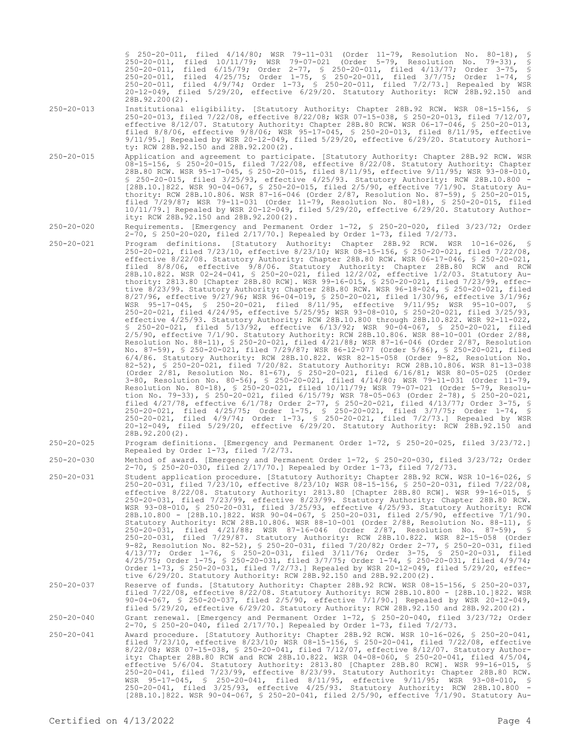§ 250-20-011, filed 4/14/80; WSR 79-11-031 (Order 11-79, Resolution No. 80-18), § 250-20-011, filed 10/11/79; WSR 79-07-021 (Order 5-79, Resolution No. 79-33), § 250-20-011, filed 6/15/79; Order 2-77, § 250-20-011, filed 4/13/77; Order 3-75, § 250-20-011, filed 4/25/75; Order 1-75, § 250-20-011, filed 3/7/75; Order 1-74, § 250-20-011, filed 4/9/74; Order 1-73, § 250-20-011, filed 7/2/73.] Repealed by WSR 20-12-049, filed 5/29/20, effective 6/29/20. Statutory Authority: RCW 28B.92.150 and 28B.92.200(2).

250-20-013 Institutional eligibility. [Statutory Authority: Chapter 28B.92 RCW. WSR 08-15-156, § 250-20-013, filed 7/22/08, effective 8/22/08; WSR 07-15-038, § 250-20-013, filed 7/12/07, effective 8/12/07. Statutory Authority: Chapter 28B.80 RCW. WSR 06-17-046, § 250-20-013, filed 8/8/06, effective 9/8/06; WSR 95-17-045, § 250-20-013, filed 8/11/95, effective 9/11/95.] Repealed by WSR 20-12-049, filed 5/29/20, effective 6/29/20. Statutory Authority: RCW 28B.92.150 and 28B.92.200(2).

250-20-015 Application and agreement to participate. [Statutory Authority: Chapter 28B.92 RCW. WSR 08-15-156, § 250-20-015, filed 7/22/08, effective 8/22/08. Statutory Authority: Chapter 28B.80 RCW. WSR 95-17-045, § 250-20-015, filed 8/11/95, effective 9/11/95; WSR 93-08-010, § 250-20-015, filed 3/25/93, effective 4/25/93. Statutory Authority: RCW 28B.10.800 - [28B.10.]822. WSR 90-04-067, § 250-20-015, filed 2/5/90, effective 7/1/90. Statutory Authority: RCW 28B.10.806. WSR 87-16-046 (Order 2/87, Resolution No. 87-59), § 250-20-015, filed 7/29/87; WSR 79-11-031 (Order 11-79, Resolution No. 80-18), § 250-20-015, filed 10/11/79.] Repealed by WSR 20-12-049, filed 5/29/20, effective 6/29/20. Statutory Authority: RCW 28B.92.150 and 28B.92.200(2).

### 250-20-020 Requirements. [Emergency and Permanent Order 1-72, § 250-20-020, filed 3/23/72; Order 2-70, § 250-20-020, filed 2/17/70.] Repealed by Order 1-73, filed 7/2/73.

- 250-20-021 Program definitions. [Statutory Authority: Chapter 28B.92 RCW. WSR 10-16-026, § 250-20-021, filed 7/23/10, effective 8/23/10; WSR 08-15-156, § 250-20-021, filed 7/22/08, effective 8/22/08. Statutory Authority: Chapter 28B.80 RCW. WSR 06-17-046, § 250-20-021, filed 8/8/06, effective 9/8/06. Statutory Authority: Chapter 28B.80 RCW and RCW 28B.10.822. WSR 02-24-041, § 250-20-021, filed 12/2/02, effective 1/2/03. Statutory Authority: 2813.80 [Chapter 28B.80 RCW]. WSR 99-16-015, § 250-20-021, filed 7/23/99, effective 8/23/99. Statutory Authority: Chapter 28B.80 RCW. WSR 96-18-024, § 250-20-021, filed 8/27/96, effective 9/27/96; WSR 96-04-019, § 250-20-021, filed 1/30/96, effective 3/1/96; WSR 95-17-045, § 250-20-021, filed 8/11/95, effective 9/11/95; WSR 95-10-007, § 250-20-021, filed 4/24/95, effective 5/25/95; WSR 93-08-010, § 250-20-021, filed 3/25/93, effective 4/25/93. Statutory Authority: RCW 28B.10.800 through 28B.10.822. WSR 92-11-022, § 250-20-021, filed 5/13/92, effective 6/13/92; WSR 90-04-067, § 250-20-021, filed 2/5/90, effective 7/1/90. Statutory Authority: RCW 28B.10.806. WSR 88-10-001 (Order 2/88, Resolution No. 88-11), § 250-20-021, filed 4/21/88; WSR 87-16-046 (Order 2/87, Resolution No. 87-59), § 250-20-021, filed 7/29/87; WSR 86-12-077 (Order 5/86), § 250-20-021, filed 6/4/86. Statutory Authority: RCW 28B.10.822. WSR 82-15-058 (Order 9-82, Resolution No. 82-52), § 250-20-021, filed 7/20/82. Statutory Authority: RCW 28B.10.806. WSR 81-13-038 (Order 2/81, Resolution No. 81-67), § 250-20-021, filed 6/16/81; WSR 80-05-025 (Order 3-80, Resolution No. 80-56), § 250-20-021, filed 4/14/80; WSR 79-11-031 (Order 11-79, Resolution No. 80-18), § 250-20-021, filed 10/11/79; WSR 79-07-021 (Order 5-79, Resolution No. 79-33), § 250-20-021, filed 6/15/79; WSR 78-05-063 (Order 2-78), § 250-20-021, filed 4/27/78, effective 6/1/78; Order 2-77, § 250-20-021, filed 4/13/77; Order 3-75, § 250-20-021, filed 4/25/75; Order 1-75, § 250-20-021, filed 3/7/75; Order 1-74, § 250-20-021, filed 4/9/74; Order 1-73, § 250-20-021, filed 7/2/73.] Repealed by WSR 20-12-049, filed 5/29/20, effective 6/29/20. Statutory Authority: RCW 28B.92.150 and 28B.92.200(2).
- 250-20-025 Program definitions. [Emergency and Permanent Order 1-72, § 250-20-025, filed 3/23/72.] Repealed by Order 1-73, filed 7/2/73.

250-20-030 Method of award. [Emergency and Permanent Order 1-72, § 250-20-030, filed 3/23/72; Order 2-70, § 250-20-030, filed 2/17/70.] Repealed by Order 1-73, filed 7/2/73.

250-20-031 Student application procedure. [Statutory Authority: Chapter 28B.92 RCW. WSR 10-16-026, § 250-20-031, filed 7/23/10, effective 8/23/10; WSR 08-15-156, § 250-20-031, filed 7/22/08, effective 8/22/08. Statutory Authority: 2813.80 [Chapter 28B.80 RCW]. WSR 99-16-015, § 250-20-031, filed 7/23/99, effective 8/23/99. Statutory Authority: Chapter 28B.80 RCW. WSR 93-08-010, § 250-20-031, filed 3/25/93, effective 4/25/93. Statutory Authority: RCW 28B.10.800 - [28B.10.]822. WSR 90-04-067, § 250-20-031, filed 2/5/90, effective 7/1/90. Statutory Authority: RCW 28B.10.806. WSR 88-10-001 (Order 2/88, Resolution No. 88-11), § 250-20-031, filed 4/21/88; WSR 87-16-046 (Order 2/87, Resolution No. 87-59), § 250-20-031, filed 7/29/87. Statutory Authority: RCW 28B.10.822. WSR 82-15-058 (Order 9-82, Resolution No. 82-52), § 250-20-031, filed 7/20/82; Order 2-77, § 250-20-031, filed 4/13/77; Order 1-76, § 250-20-031, filed 3/11/76; Order 3-75, § 250-20-031, filed 4/25/75; Order 1-75, § 250-20-031, filed 3/7/75; Order 1-74, § 250-20-031, filed 4/9/74; Order 1-73, § 250-20-031, filed 7/2/73.] Repealed by WSR 20-12-049, filed 5/29/20, effective 6/29/20. Statutory Authority: RCW 28B.92.150 and 28B.92.200(2).

## 250-20-037 Reserve of funds. [Statutory Authority: Chapter 28B.92 RCW. WSR 08-15-156, § 250-20-037, filed 7/22/08, effective 8/22/08. Statutory Authority: RCW 28B.10.800 - [28B.10.]822. WSR 90-04-067, § 250-20-037, filed 2/5/90, effective 7/1/90.] Repealed by WSR 20-12-049, filed 5/29/20, effective 6/29/20. Statutory Authority: RCW 28B.92.150 and 28B.92.200(2).

- 250-20-040 Grant renewal. [Emergency and Permanent Order 1-72, § 250-20-040, filed 3/23/72; Order 2-70, § 250-20-040, filed 2/17/70.] Repealed by Order 1-73, filed 7/2/73.
- 250-20-041 Award procedure. [Statutory Authority: Chapter 28B.92 RCW. WSR 10-16-026, § 250-20-041, filed 7/23/10, effective 8/23/10; WSR 08-15-156, § 250-20-041, filed 7/22/08, effective 8/22/08; WSR 07-15-038, § 250-20-041, filed 7/12/07, effective 8/12/07. Statutory Authority: Chapter 28B.80 RCW and RCW 28B.10.822. WSR 04-08-060, § 250-20-041, filed 4/5/04, effective 5/6/04. Statutory Authority: 2813.80 [Chapter 28B.80 RCW]. WSR 99-16-015, § 250-20-041, filed 7/23/99, effective 8/23/99. Statutory Authority: Chapter 28B.80 RCW. WSR 95-17-045, § 250-20-041, filed 8/11/95, effective 9/11/95; WSR 93-08-010, § 250-20-041, filed 3/25/93, effective 4/25/93. Statutory Authority: RCW 28B.10.800 - [28B.10.]822. WSR 90-04-067, § 250-20-041, filed 2/5/90, effective 7/1/90. Statutory Au-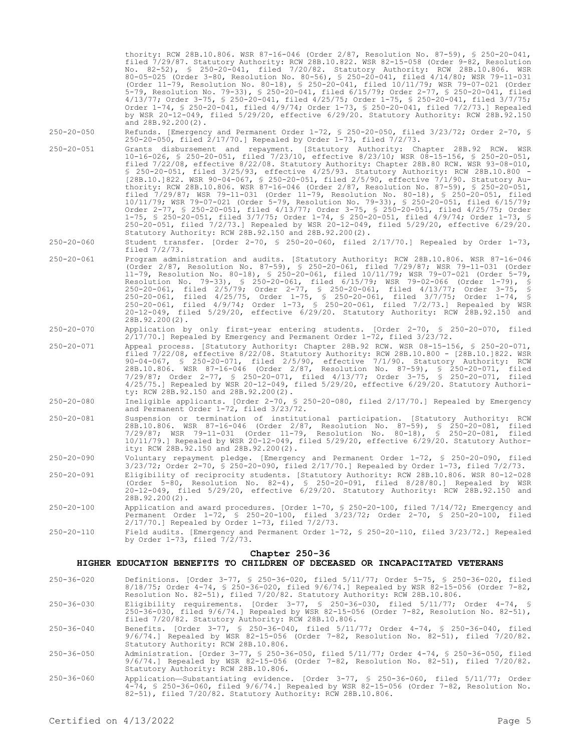thority: RCW 28B.10.806. WSR 87-16-046 (Order 2/87, Resolution No. 87-59), § 250-20-041, filed 7/29/87. Statutory Authority: RCW 28B.10.822. WSR 82-15-058 (Order 9-82, Resolution No. 82-52), § 250-20-041, filed 7/20/82. Statutory Authority: RCW 28B.10.806. WSR 80-05-025 (Order 3-80, Resolution No. 80-56), § 250-20-041, filed 4/14/80; WSR 79-11-031 (Order 11-79, Resolution No. 80-18), § 250-20-041, filed 10/11/79; WSR 79-07-021 (Order 5-79, Resolution No. 79-33), § 250-20-041, filed 6/15/79; Order 2-77, § 250-20-041, filed 4/13/77; Order 3-75, § 250-20-041, filed 4/25/75; Order 1-75, § 250-20-041, filed 3/7/75; Order 1-74, § 250-20-041, filed 4/9/74; Order 1-73, § 250-20-041, filed 7/2/73.] Repealed by WSR 20-12-049, filed 5/29/20, effective 6/29/20. Statutory Authority: RCW 28B.92.150 and 28B.92.200(2). 250-20-050 Refunds. [Emergency and Permanent Order 1-72, § 250-20-050, filed 3/23/72; Order 2-70, § 250-20-050, filed 2/17/70.] Repealed by Order 1-73, filed 7/2/73. 250-20-051 Grants disbursement and repayment. [Statutory Authority: Chapter 28B.92 RCW. WSR 10-16-026, § 250-20-051, filed 7/23/10, effective 8/23/10; WSR 08-15-156, § 250-20-051, filed 7/22/08, effective 8/22/08. Statutory Authority: Chapter 28B.80 RCW. WSR 93-08-010, § 250-20-051, filed 3/25/93, effective 4/25/93. Statutory Authority: RCW 28B.10.800 - [28B.10.]822. WSR 90-04-067, § 250-20-051, filed 2/5/90, effective 7/1/90. Statutory Authority: RCW 28B.10.806. WSR 87-16-046 (Order 2/87, Resolution No. 87-59), § 250-20-051, filed 7/29/87; WSR 79-11-031 (Order 11-79, Resolution No. 80-18), § 250-20-051, filed 10/11/79; WSR 79-07-021 (Order 5-79, Resolution No. 79-33), § 250-20-051, filed 6/15/79; Order 2-77, § 250-20-051, filed 4/13/77; Order 3-75, § 250-20-051, filed 4/25/75; Order 1-75, § 250-20-051, filed 3/7/75; Order 1-74, § 250-20-051, filed 4/9/74; Order 1-73, § 250-20-051, filed 7/2/73.] Repealed by WSR 20-12-049, filed 5/29/20, effective 6/29/20. Statutory Authority: RCW 28B.92.150 and 28B.92.200(2). 250-20-060 Student transfer. [Order 2-70, § 250-20-060, filed 2/17/70.] Repealed by Order 1-73, filed 7/2/73. 250-20-061 Program administration and audits. [Statutory Authority: RCW 28B.10.806. WSR 87-16-046 (Order 2/87, Resolution No. 87-59), § 250-20-061, filed 7/29/87; WSR 79-11-031 (Order 11-79, Resolution No. 80-18), § 250-20-061, filed 10/11/79; WSR 79-07-021 (Order 5-79, Resolution No. 79-33), § 250-20-061, filed 6/15/79; WSR 79-02-066 (Order 1-79), § 250-20-061, filed 2/5/79; Order 2-77, § 250-20-061, filed 4/13/77; Order 3-75, § 250-20-061, filed 4/25/75, Order 1-75, § 250-20-061, filed 3/7/75; Order 1-74, § 250-20-061, filed 4/9/74; Order 1-73, § 250-20-061, filed 7/2/73.] Repealed by WSR 20-12-049, filed 5/29/20, effective 6/29/20. Statutory Authority: RCW 28B.92.150 and 28B.92.200(2). 250-20-070 Application by only first-year entering students. [Order 2-70, § 250-20-070, filed 2/17/70.] Repealed by Emergency and Permanent Order 1-72, filed 3/23/72. 250-20-071 Appeal process. [Statutory Authority: Chapter 28B.92 RCW. WSR 08-15-156, § 250-20-071, filed 7/22/08, effective 8/22/08. Statutory Authority: RCW 28B.10.800 - [28B.10.]822. WSR 90-04-067, § 250-20-071, filed 2/5/90, effective 7/1/90. Statutory Authority: RCW 28B.10.806. WSR 87-16-046 (Order 2/87, Resolution No. 87-59), § 250-20-071, filed 7/29/87; Order 2-77, § 250-20-071, filed 4/13/77; Order 3-75, § 250-20-071, filed 4/25/75.] Repealed by WSR 20-12-049, filed 5/29/20, effective 6/29/20. Statutory Authority: RCW 28B.92.150 and 28B.92.200(2). 250-20-080 Ineligible applicants. [Order 2-70, § 250-20-080, filed 2/17/70.] Repealed by Emergency and Permanent Order 1-72, filed 3/23/72. 250-20-081 Suspension or termination of institutional participation. [Statutory Authority: RCW 28B.10.806. WSR 87-16-046 (Order 2/87, Resolution No. 87-59), § 250-20-081, filed 7/29/87; WSR 79-11-031 (Order 11-79, Resolution No. 80-18), § 250-20-081, filed 10/11/79.] Repealed by WSR 20-12-049, filed 5/29/20, effective 6/29/20. Statutory Authority: RCW 28B.92.150 and 28B.92.200(2). 250-20-090 Voluntary repayment pledge. [Emergency and Permanent Order 1-72, § 250-20-090, filed 3/23/72; Order 2-70, § 250-20-090, filed 2/17/70.] Repealed by Order 1-73, filed 7/2/73. 250-20-091 Eligibility of reciprocity students. [Statutory Authority: RCW 28B.10.806. WSR 80-12-028 (Order 5-80, Resolution No. 82-4), § 250-20-091, filed 8/28/80.] Repealed by WSR 20-12-049, filed 5/29/20, effective 6/29/20. Statutory Authority: RCW 28B.92.150 and 28B.92.200(2). 250-20-100 Application and award procedures. [Order 1-70, § 250-20-100, filed 7/14/72; Emergency and Permanent Order 1-72, § 250-20-100, filed 3/23/72; Order 2-70, § 250-20-100, filed 2/17/70.] Repealed by Order 1-73, filed 7/2/73. 250-20-110 Field audits. [Emergency and Permanent Order 1-72, § 250-20-110, filed 3/23/72.] Repealed by Order 1-73, filed 7/2/73. **Chapter 250-36 HIGHER EDUCATION BENEFITS TO CHILDREN OF DECEASED OR INCAPACITATED VETERANS** 250-36-020 Definitions. [Order 3-77, § 250-36-020, filed 5/11/77; Order 5-75, § 250-36-020, filed 8/18/75; Order 4-74, § 250-36-020, filed 9/6/74.] Repealed by WSR 82-15-056 (Order 7-82, Resolution No. 82-51), filed 7/20/82. Statutory Authority: RCW 28B.10.806. 250-36-030 Eligibility requirements. [Order 3-77, § 250-36-030, filed 5/11/77; Order 4-74, § 250-36-030, filed 9/6/74.] Repealed by WSR 82-15-056 (Order 7-82, Resolution No. 82-51), filed 7/20/82. Statutory Authority: RCW 28B.10.806. 250-36-040 Benefits. [Order 3-77, § 250-36-040, filed 5/11/77; Order 4-74, § 250-36-040, filed 9/6/74.] Repealed by WSR 82-15-056 (Order 7-82, Resolution No. 82-51), filed 7/20/82. Statutory Authority: RCW 28B.10.806. 250-36-050 Administration. [Order 3-77, § 250-36-050, filed 5/11/77; Order 4-74, § 250-36-050, filed

- 9/6/74.] Repealed by WSR 82-15-056 (Order 7-82, Resolution No. 82-51), filed 7/20/82. Statutory Authority: RCW 28B.10.806. 250-36-060 Application—Substantiating evidence. [Order 3-77, § 250-36-060, filed 5/11/77; Order
- 4-74, § 250-36-060, filed 9/6/74.] Repealed by WSR 82-15-056 (Order 7-82, Resolution No. 82-51), filed 7/20/82. Statutory Authority: RCW 28B.10.806.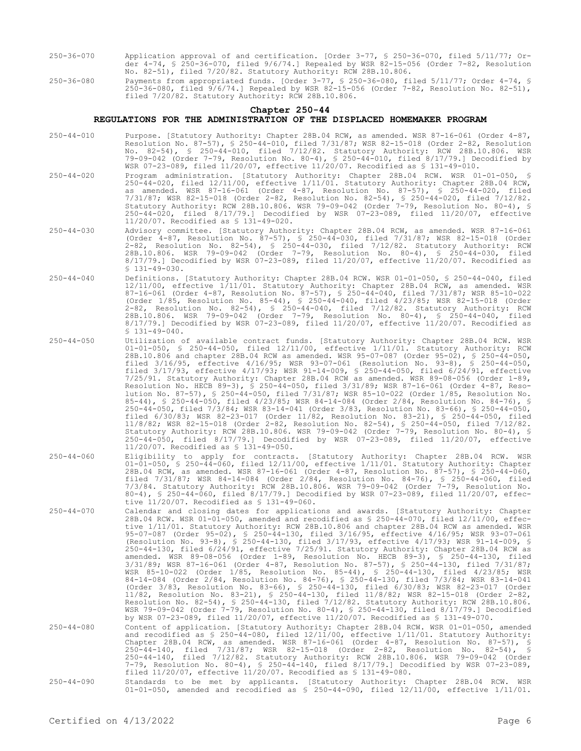- 250-36-070 Application approval of and certification. [Order 3-77, § 250-36-070, filed 5/11/77; Order 4-74, § 250-36-070, filed 9/6/74.] Repealed by WSR 82-15-056 (Order 7-82, Resolution No. 82-51), filed 7/20/82. Statutory Authority: RCW 28B.10.806.
- 250-36-080 Payments from appropriated funds. [Order 3-77, § 250-36-080, filed 5/11/77; Order 4-74, § 250-36-080, filed 9/6/74.] Repealed by WSR 82-15-056 (Order 7-82, Resolution No. 82-51), filed 7/20/82. Statutory Authority: RCW 28B.10.806.

### **Chapter 250-44**

## **REGULATIONS FOR THE ADMINISTRATION OF THE DISPLACED HOMEMAKER PROGRAM**

- 250-44-010 Purpose. [Statutory Authority: Chapter 28B.04 RCW, as amended. WSR 87-16-061 (Order 4-87, Resolution No. 87-57), § 250-44-010, filed 7/31/87; WSR 82-15-018 (Order 2-82, Resolution No. 82-54), § 250-44-010, filed 7/12/82. Statutory Authority: RCW 28B.10.806. WSR 79-09-042 (Order 7-79, Resolution No. 80-4), § 250-44-010, filed 8/17/79.] Decodified by WSR 07-23-089, filed 11/20/07, effective 11/20/07. Recodified as § 131-49-010.
- 250-44-020 Program administration. [Statutory Authority: Chapter 28B.04 RCW. WSR 01-01-050, § 250-44-020, filed 12/11/00, effective 1/11/01. Statutory Authority: Chapter 28B.04 RCW, as amended. WSR 87-16-061 (Order 4-87, Resolution No. 87-57), § 250-44-020, filed 7/31/87; WSR 82-15-018 (Order 2-82, Resolution No. 82-54), § 250-44-020, filed 7/12/82. Statutory Authority: RCW 28B.10.806. WSR 79-09-042 (Order 7-79, Resolution No. 80-4), § 250-44-020, filed 8/17/79.] Decodified by WSR 07-23-089, filed 11/20/07, effective 11/20/07. Recodified as § 131-49-020.
- 250-44-030 Advisory committee. [Statutory Authority: Chapter 28B.04 RCW, as amended. WSR 87-16-061 (Order 4-87, Resolution No. 87-57), § 250-44-030, filed 7/31/87; WSR 82-15-018 (Order 2-82, Resolution No. 82-54), § 250-44-030, filed 7/12/82. Statutory Authority: RCW 28B.10.806. WSR 79-09-042 (Order 7-79, Resolution No. 80-4), § 250-44-030, filed 8/17/79.] Decodified by WSR 07-23-089, filed 11/20/07, effective 11/20/07. Recodified as  $$131-49-030.$
- 250-44-040 Definitions. [Statutory Authority: Chapter 28B.04 RCW. WSR 01-01-050, § 250-44-040, filed 12/11/00, effective 1/11/01. Statutory Authority: Chapter 28B.04 RCW, as amended. WSR 87-16-061 (Order 4-87, Resolution No. 87-57), § 250-44-040, filed 7/31/87; WSR 85-10-022 (Order 1/85, Resolution No. 85-44), § 250-44-040, filed 4/23/85; WSR 82-15-018 (Order 2-82, Resolution No. 82-54), § 250-44-040, filed 7/12/82. Statutory Authority: RCW 28B.10.806. WSR 79-09-042 (Order 7-79, Resolution No. 80-4), § 250-44-040, filed 8/17/79.] Decodified by WSR 07-23-089, filed 11/20/07, effective 11/20/07. Recodified as  $$131-49-040.$
- 250-44-050 Utilization of available contract funds. [Statutory Authority: Chapter 28B.04 RCW. WSR 01-01-050, § 250-44-050, filed 12/11/00, effective 1/11/01. Statutory Authority: RCW 28B.10.806 and chapter 28B.04 RCW as amended. WSR 95-07-087 (Order 95-02), § 250-44-050, filed 3/16/95, effective 4/16/95; WSR 93-07-061 (Resolution No. 93-8), § 250-44-050, filed 3/17/93, effective 4/17/93; WSR 91-14-009, § 250-44-050, filed 6/24/91, effective 7/25/91. Statutory Authority: Chapter 28B.04 RCW as amended. WSR 89-08-056 (Order 1-89, Resolution No. HECB 89-3), § 250-44-050, filed 3/31/89; WSR 87-16-061 (Order 4-87, Resolution No. 87-57), § 250-44-050, filed 7/31/87; WSR 85-10-022 (Order 1/85, Resolution No. 85-44), § 250-44-050, filed 4/23/85; WSR 84-14-084 (Order 2/84, Resolution No. 84-76), § 250-44-050, filed 7/3/84; WSR 83-14-041 (Order 3/83, Resolution No. 83-66), § 250-44-050, filed 6/30/83; WSR 82-23-017 (Order 11/82, Resolution No. 83-21), § 250-44-050, filed 11/8/82; WSR 82-15-018 (Order 2-82, Resolution No. 82-54), § 250-44-050, filed 7/12/82. Statutory Authority: RCW 28B.10.806. WSR 79-09-042 (Order 7-79, Resolution No. 80-4), § 250-44-050, filed 8/17/79.] Decodified by WSR 07-23-089, filed 11/20/07, effective 11/20/07. Recodified as § 131-49-050.
- 250-44-060 Eligibility to apply for contracts. [Statutory Authority: Chapter 28B.04 RCW. WSR 01-01-050, § 250-44-060, filed 12/11/00, effective 1/11/01. Statutory Authority: Chapter 28B.04 RCW, as amended. WSR 87-16-061 (Order 4-87, Resolution No. 87-57), § 250-44-060, filed 7/31/87; WSR 84-14-084 (Order 2/84, Resolution No. 84-76), § 250-44-060, filed 7/3/84. Statutory Authority: RCW 28B.10.806. WSR 79-09-042 (Order 7-79, Resolution No. 80-4), § 250-44-060, filed 8/17/79.] Decodified by WSR 07-23-089, filed 11/20/07, effective 11/20/07. Recodified as § 131-49-060.
- 250-44-070 Calendar and closing dates for applications and awards. [Statutory Authority: Chapter 28B.04 RCW. WSR 01-01-050, amended and recodified as § 250-44-070, filed 12/11/00, effective 1/11/01. Statutory Authority: RCW 28B.10.806 and chapter 28B.04 RCW as amended. WSR 95-07-087 (Order 95-02), § 250-44-130, filed 3/16/95, effective 4/16/95; WSR 93-07-061 (Resolution No. 93-8), § 250-44-130, filed 3/17/93, effective 4/17/93; WSR 91-14-009, § 250-44-130, filed 6/24/91, effective 7/25/91. Statutory Authority: Chapter 28B.04 RCW as amended. WSR 89-08-056 (Order 1-89, Resolution No. HECB 89-3), § 250-44-130, filed 3/31/89; WSR 87-16-061 (Order 4-87, Resolution No. 87-57), § 250-44-130, filed 7/31/87; WSR 85-10-022 (Order 1/85, Resolution No. 85-44), § 250-44-130, filed 4/23/85; WSR 84-14-084 (Order 2/84, Resolution No. 84-76), § 250-44-130, filed 7/3/84; WSR 83-14-041 (Order 3/83, Resolution No. 83-66), § 250-44-130, filed 6/30/83; WSR 82-23-017 (Order 11/82, Resolution No. 83-21), § 250-44-130, filed 11/8/82; WSR 82-15-018 (Order 2-82, Resolution No. 82-54), § 250-44-130, filed 7/12/82. Statutory Authority: RCW 28B.10.806. WSR 79-09-042 (Order 7-79, Resolution No. 80-4), § 250-44-130, filed 8/17/79.] Decodified by WSR 07-23-089, filed 11/20/07, effective 11/20/07. Recodified as § 131-49-070.
- 250-44-080 Content of application. [Statutory Authority: Chapter 28B.04 RCW. WSR 01-01-050, amended and recodified as § 250-44-080, filed 12/11/00, effective 1/11/01. Statutory Authority: Chapter 28B.04 RCW, as amended. WSR 87-16-061 (Order 4-87, Resolution No. 87-57), § 250-44-140, filed 7/31/87; WSR 82-15-018 (Order 2-82, Resolution No. 82-54), § 250-44-140, filed 7/12/82. Statutory Authority: RCW 28B.10.806. WSR 79-09-042 (Order 7-79, Resolution No. 80-4), § 250-44-140, filed 8/17/79.] Decodified by WSR 07-23-089, filed 11/20/07, effective 11/20/07. Recodified as § 131-49-080.
- 250-44-090 Standards to be met by applicants. [Statutory Authority: Chapter 28B.04 RCW. WSR 01-01-050, amended and recodified as § 250-44-090, filed 12/11/00, effective 1/11/01.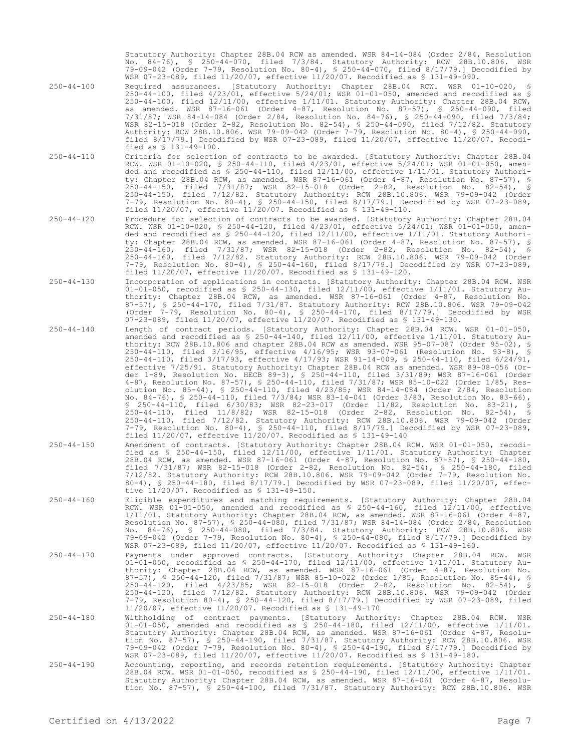Statutory Authority: Chapter 28B.04 RCW as amended. WSR 84-14-084 (Order 2/84, Resolution No. 84-76), § 250-44-070, filed 7/3/84. Statutory Authority: RCW 28B.10.806. WSR 79-09-042 (Order 7-79, Resolution No. 80-4), § 250-44-070, filed 8/17/79.] Decodified by WSR 07-23-089, filed 11/20/07, effective 11/20/07. Recodified as § 131-49-090.

- 250-44-100 Required assurances. [Statutory Authority: Chapter 28B.04 RCW. WSR 01-10-020, § 250-44-100, filed 4/23/01, effective 5/24/01; WSR 01-01-050, amended and recodified as § 250-44-100, filed 12/11/00, effective 1/11/01. Statutory Authority: Chapter 28B.04 RCW, as amended. WSR 87-16-061 (Order 4-87, Resolution No. 87-57), § 250-44-090, filed 7/31/87; WSR 84-14-084 (Order 2/84, Resolution No. 84-76), § 250-44-090, filed 7/3/84; WSR 82-15-018 (Order 2-82, Resolution No. 82-54), § 250-44-090, filed 7/12/82. Statutory Authority: RCW 28B.10.806. WSR 79-09-042 (Order 7-79, Resolution No. 80-4), § 250-44-090, filed 8/17/79.] Decodified by WSR 07-23-089, filed 11/20/07, effective 11/20/07. Recodified as § 131-49-100.
- 250-44-110 Criteria for selection of contracts to be awarded. [Statutory Authority: Chapter 28B.04 RCW. WSR 01-10-020, § 250-44-110, filed 4/23/01, effective 5/24/01; WSR 01-01-050, amended and recodified as § 250-44-110, filed 12/11/00, effective 1/11/01. Statutory Authority: Chapter 28B.04 RCW, as amended. WSR 87-16-061 (Order 4-87, Resolution No. 87-57), § 250-44-150, filed 7/31/87; WSR 82-15-018 (Order 2-82, Resolution No. 82-54), § 250-44-150, filed 7/12/82. Statutory Authority: RCW 28B.10.806. WSR 79-09-042 (Order 7-79, Resolution No. 80-4), § 250-44-150, filed 8/17/79.] Decodified by WSR 07-23-089, filed 11/20/07, effective 11/20/07. Recodified as § 131-49-110.
- 250-44-120 Procedure for selection of contracts to be awarded. [Statutory Authority: Chapter 28B.04 RCW. WSR 01-10-020, § 250-44-120, filed 4/23/01, effective 5/24/01; WSR 01-01-050, amended and recodified as § 250-44-120, filed 12/11/00, effective 1/11/01. Statutory Authority: Chapter 28B.04 RCW, as amended. WSR 87-16-061 (Order 4-87, Resolution No. 87-57), § 250-44-160, filed 7/31/87; WSR 82-15-018 (Order 2-82, Resolution No. 82-54), § 250-44-160, filed 7/12/82. Statutory Authority: RCW 28B.10.806. WSR 79-09-042 (Order 7-79, Resolution No. 80-4), § 250-44-160, filed 8/17/79.] Decodified by WSR 07-23-089, filed 11/20/07, effective 11/20/07. Recodified as § 131-49-120.
- 250-44-130 Incorporation of applications in contracts. [Statutory Authority: Chapter 28B.04 RCW. WSR 01-01-050, recodified as § 250-44-130, filed 12/11/00, effective 1/11/01. Statutory Authority: Chapter 28B.04 RCW, as amended. WSR 87-16-061 (Order 4-87, Resolution No. 87-57), § 250-44-170, filed 7/31/87. Statutory Authority: RCW 28B.10.806. WSR 79-09-042 (Order 7-79, Resolution No. 80-4), § 250-44-170, filed 8/17/79.] Decodified by WSR 07-23-089, filed 11/20/07, effective 11/20/07. Recodified as § 131-49-130.
- 250-44-140 Length of contract periods. [Statutory Authority: Chapter 28B.04 RCW. WSR 01-01-050, amended and recodified as § 250-44-140, filed 12/11/00, effective 1/11/01. Statutory Authority: RCW 28B.10.806 and chapter 28B.04 RCW as amended. WSR 95-07-087 (Order 95-02), § 250-44-110, filed 3/16/95, effective 4/16/95; WSR 93-07-061 (Resolution No. 93-8), § 250-44-110, filed 3/17/93, effective 4/17/93; WSR 91-14-009, § 250-44-110, filed 6/24/91, effective 7/25/91. Statutory Authority: Chapter 28B.04 RCW as amended. WSR 89-08-056 (Order 1-89, Resolution No. HECB 89-3), § 250-44-110, filed 3/31/89; WSR 87-16-061 (Order 4-87, Resolution No. 87-57), § 250-44-110, filed 7/31/87; WSR 85-10-022 (Order 1/85, Resolution No. 85-44), § 250-44-110, filed 4/23/85; WSR 84-14-084 (Order 2/84, Resolution No. 84-76), § 250-44-110, filed 7/3/84; WSR 83-14-041 (Order 3/83, Resolution No. 83-66), § 250-44-110, filed 6/30/83; WSR 82-23-017 (Order 11/82, Resolution No. 83-21), § 250-44-110, filed 11/8/82; WSR 82-15-018 (Order 2-82, Resolution No. 82-54), § 250-44-110, filed 7/12/82. Statutory Authority: RCW 28B.10.806. WSR 79-09-042 (Order 7-79, Resolution No. 80-4), § 250-44-110, filed 8/17/79.] Decodified by WSR 07-23-089, filed 11/20/07, effective 11/20/07. Recodified as § 131-49-140
- 250-44-150 Amendment of contracts. [Statutory Authority: Chapter 28B.04 RCW. WSR 01-01-050, recodified as § 250-44-150, filed 12/11/00, effective 1/11/01. Statutory Authority: Chapter 28B.04 RCW, as amended. WSR 87-16-061 (Order 4-87, Resolution No. 87-57), § 250-44-180, filed 7/31/87; WSR 82-15-018 (Order 2-82, Resolution No. 82-54), § 250-44-180, filed 7/12/82. Statutory Authority: RCW 28B.10.806. WSR 79-09-042 (Order 7-79, Resolution No. 80-4), § 250-44-180, filed 8/17/79.] Decodified by WSR 07-23-089, filed 11/20/07, effective 11/20/07. Recodified as § 131-49-150.
- 250-44-160 Eligible expenditures and matching requirements. [Statutory Authority: Chapter 28B.04 RCW. WSR 01-01-050, amended and recodified as § 250-44-160, filed 12/11/00, effective 1/11/01. Statutory Authority: Chapter 28B.04 RCW, as amended. WSR 87-16-061 (Order 4-87, Resolution No. 87-57), § 250-44-080, filed 7/31/87; WSR 84-14-084 (Order 2/84, Resolution No. 84-76), § 250-44-080, filed 7/3/84. Statutory Authority: RCW 28B.10.806. WSR 79-09-042 (Order 7-79, Resolution No. 80-4), § 250-44-080, filed 8/17/79.] Decodified by WSR 07-23-089, filed 11/20/07, effective 11/20/07. Recodified as § 131-49-160.
- 250-44-170 Payments under approved contracts. [Statutory Authority: Chapter 28B.04 RCW. WSR 01-01-050, recodified as § 250-44-170, filed 12/11/00, effective 1/11/01. Statutory Authority: Chapter 28B.04 RCW, as amended. WSR 87-16-061 (Order 4-87, Resolution No. 87-57), § 250-44-120, filed 7/31/87; WSR 85-10-022 (Order 1/85, Resolution No. 85-44), § 250-44-120, filed 4/23/85; WSR 82-15-018 (Order 2-82, Resolution No. 82-54), § 250-44-120, filed 7/12/82. Statutory Authority: RCW 28B.10.806. WSR 79-09-042 (Order 7-79, Resolution 80-4), § 250-44-120, filed 8/17/79.] Decodified by WSR 07-23-089, filed 11/20/07, effective 11/20/07. Recodified as § 131-49-170
- 250-44-180 Withholding of contract payments. [Statutory Authority: Chapter 28B.04 RCW. WSR 01-01-050, amended and recodified as \$ 250-44-180, filed 12/11/00, effective 1/11/01.<br>Statutory Authority: Chapter 28B.04 RCW, as amended. WSR 87-16-061 (Order 4-87, Resolu-<br>tion No. 87-57), \$ 250-44-190, filed 7/31/87. St 79-09-042 (Order 7-79, Resolution No. 80-4), § 250-44-190, filed 8/17/79.] Decodified by WSR 07-23-089, filed 11/20/07, effective 11/20/07. Recodified as § 131-49-180.
- 250-44-190 Accounting, reporting, and records retention requirements. [Statutory Authority: Chapter 28B.04 RCW. WSR 01-01-050, recodified as § 250-44-190, filed 12/11/00, effective 1/11/01. Statutory Authority: Chapter 28B.04 RCW, as amended. WSR 87-16-061 (Order 4-87, Resolution No. 87-57), § 250-44-100, filed 7/31/87. Statutory Authority: RCW 28B.10.806. WSR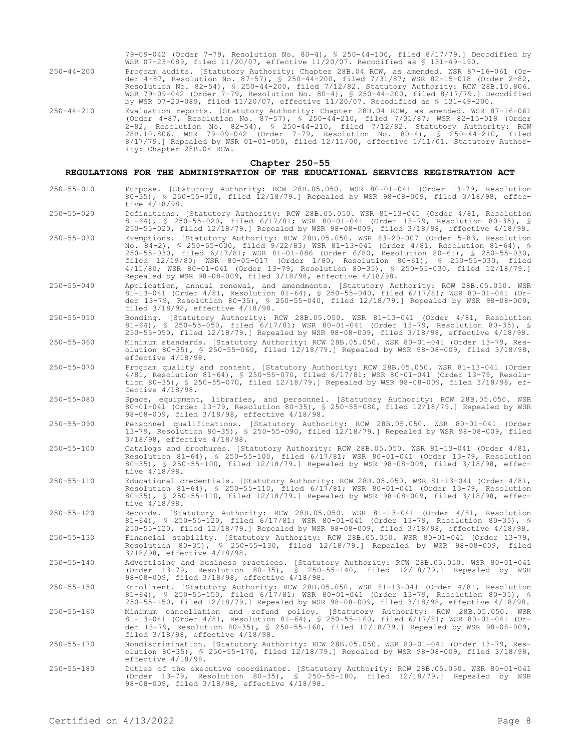79-09-042 (Order 7-79, Resolution No. 80-4), § 250-44-100, filed 8/17/79.] Decodified by WSR 07-23-089, filed 11/20/07, effective 11/20/07. Recodified as § 131-49-190.

- 250-44-200 Program audits. [Statutory Authority: Chapter 28B.04 RCW, as amended. WSR 87-16-061 (Order 4-87, Resolution No. 87-57), § 250-44-200, filed 7/31/87; WSR 82-15-018 (Order 2-82, Resolution No. 82-54), § 250-44-200, filed 7/12/82. Statutory Authority: RCW 28B.10.806. WSR 79-09-042 (Order 7-79, Resolution No. 80-4), § 250-44-200, filed 8/17/79.] Decodified by WSR 07-23-089, filed 11/20/07, effective 11/20/07. Recodified as § 131-49-200.
- 250-44-210 Evaluation reports. [Statutory Authority: Chapter 28B.04 RCW, as amended. WSR 87-16-061 (Order 4-87, Resolution No. 87-57), § 250-44-210, filed 7/31/87; WSR 82-15-018 (Order 2-82, Resolution No. 82-54), § 250-44-210, filed 7/12/82. Statutory Authority: RCW 28B.10.806. WSR 79-09-042 (Order 7-79, Resolution No. 80-4), § 250-44-210, filed 8/17/79.] Repealed by WSR 01-01-050, filed 12/11/00, effective 1/11/01. Statutory Authority: Chapter 28B.04 RCW.

### **Chapter 250-55**

## **REGULATIONS FOR THE ADMINISTRATION OF THE EDUCATIONAL SERVICES REGISTRATION ACT**

- 250-55-010 Purpose. [Statutory Authority: RCW 28B.05.050. WSR 80-01-041 (Order 13-79, Resolution 80-35), § 250-55-010, filed 12/18/79.] Repealed by WSR 98-08-009, filed 3/18/98, effective 4/18/98.
- 250-55-020 Definitions. [Statutory Authority: RCW 28B.05.050. WSR 81-13-041 (Order 4/81, Resolution 81-64), § 250-55-020, filed 6/17/81; WSR 80-01-041 (Order 13-79, Resolution 80-35), § 250-55-020, filed 12/18/79.] Repealed by WSR 98-08-009, filed 3/18/98, effective 4/18/98.
- 250-55-030 Exemptions. [Statutory Authority: RCW 28B.05.050. WSR 83-20-007 (Order 5-83, Resolution No. 84-2), § 250-55-030, filed 9/22/83; WSR 81-13-041 (Order 4/81, Resolution 81-64), § 250-55-030, filed 6/17/81; WSR 81-01-086 (Order 6/80, Resolution 80-61), § 250-55-030, filed 12/19/80; WSR 80-05-017 (Order 1/80, Resolution 80-61), § 250-55-030, filed 4/11/80; WSR 80-01-041 (Order 13-79, Resolution 80-35), § 250-55-030, filed 12/18/79.] Repealed by WSR 98-08-009, filed 3/18/98, effective 4/18/98.
- 250-55-040 Application, annual renewal, and amendments. [Statutory Authority: RCW 28B.05.050. WSR 81-13-041 (Order 4/81, Resolution 81-64), § 250-55-040, filed 6/17/81; WSR 80-01-041 (Order 13-79, Resolution 80-35), § 250-55-040, filed 12/18/79.] Repealed by WSR 98-08-009, filed 3/18/98, effective 4/18/98.
- 250-55-050 Bonding. [Statutory Authority: RCW 28B.05.050. WSR 81-13-041 (Order 4/81, Resolution 81-64), § 250-55-050, filed 6/17/81; WSR 80-01-041 (Order 13-79, Resolution 80-35), § 250-55-050, filed 12/18/79.] Repealed by WSR 98-08-009, filed 3/18/98, effective 4/18/98.
- 250-55-060 Minimum standards. [Statutory Authority: RCW 28B.05.050. WSR 80-01-041 (Order 13-79, Resolution 80-35), § 250-55-060, filed 12/18/79.] Repealed by WSR 98-08-009, filed 3/18/98, effective 4/18/98.
- 250-55-070 Program quality and content. [Statutory Authority: RCW 28B.05.050. WSR 81-13-041 (Order 4/81, Resolution 81-64), § 250-55-070, filed 6/17/81; WSR 80-01-041 (Order 13-79, Resolution 80-35), § 250-55-070, filed 12/18/79.] Repealed by WSR 98-08-009, filed 3/18/98, effective 4/18/98.
- 250-55-080 Space, equipment, libraries, and personnel. [Statutory Authority: RCW 28B.05.050. WSR 80-01-041 (Order 13-79, Resolution 80-35), § 250-55-080, filed 12/18/79.] Repealed by WSR 98-08-009, filed 3/18/98, effective 4/18/98.
- 250-55-090 Personnel qualifications. [Statutory Authority: RCW 28B.05.050. WSR 80-01-041 (Order 13-79, Resolution 80-35), § 250-55-090, filed 12/18/79.] Repealed by WSR 98-08-009, filed 3/18/98, effective 4/18/98.
- 250-55-100 Catalogs and brochures. [Statutory Authority: RCW 28B.05.050. WSR 81-13-041 (Order 4/81, Resolution 81-64), § 250-55-100, filed 6/17/81; WSR 80-01-041 (Order 13-79, Resolution 80-35), § 250-55-100, filed 12/18/79.] Repealed by WSR 98-08-009, filed 3/18/98, effective 4/18/98.
- 250-55-110 Educational credentials. [Statutory Authority: RCW 28B.05.050. WSR 81-13-041 (Order 4/81, Resolution 81-64), § 250-55-110, filed 6/17/81; WSR 80-01-041 (Order 13-79, Resolution 80-35), § 250-55-110, filed 12/18/79.] Repealed by WSR 98-08-009, filed 3/18/98, effective 4/18/98.
- 250-55-120 Records. [Statutory Authority: RCW 28B.05.050. WSR 81-13-041 (Order 4/81, Resolution 81-64), § 250-55-120, filed 6/17/81; WSR 80-01-041 (Order 13-79, Resolution 80-35), § 250-55-120, filed 12/18/79.] Repealed by WSR 98-08-009, filed 3/18/98, effective 4/18/98.
- 250-55-130 Financial stability. [Statutory Authority: RCW 28B.05.050. WSR 80-01-041 (Order 13-79, Resolution 80-35), § 250-55-130, filed 12/18/79.] Repealed by WSR 98-08-009, filed 3/18/98, effective 4/18/98.
- 250-55-140 Advertising and business practices. [Statutory Authority: RCW 28B.05.050. WSR 80-01-041 (Order 13-79, Resolution 80-35), § 250-55-140, filed 12/18/79.] Repealed by WSR 98-08-009, filed 3/18/98, effective 4/18/98.
- 250-55-150 Enrollment. [Statutory Authority: RCW 28B.05.050. WSR 81-13-041 (Order 4/81, Resolution 81-64), § 250-55-150, filed 6/17/81; WSR 80-01-041 (Order 13-79, Resolution 80-35), § 250-55-150, filed 12/18/79.] Repealed by WSR 98-08-009, filed 3/18/98, effective 4/18/98.
- 250-55-160 Minimum cancellation and refund policy. [Statutory Authority: RCW 28B.05.050. WSR 81-13-041 (Order 4/81, Resolution 81-64), § 250-55-160, filed 6/17/81; WSR 80-01-041 (Or-der 13-79, Resolution 80-35), § 250-55-160, filed 12/18/79.] Repealed by WSR 98-08-009, filed 3/18/98, effective 4/18/98.
- 250-55-170 Nondiscrimination. [Statutory Authority: RCW 28B.05.050. WSR 80-01-041 (Order 13-79, Res-olution 80-35), § 250-55-170, filed 12/18/79.] Repealed by WSR 98-08-009, filed 3/18/98, effective 4/18/98.
- 250-55-180 Duties of the executive coordinator. [Statutory Authority: RCW 28B.05.050. WSR 80-01-041 (Order 13-79, Resolution 80-35), § 250-55-180, filed 12/18/79.] Repealed by WSR 98-08-009, filed 3/18/98, effective 4/18/98.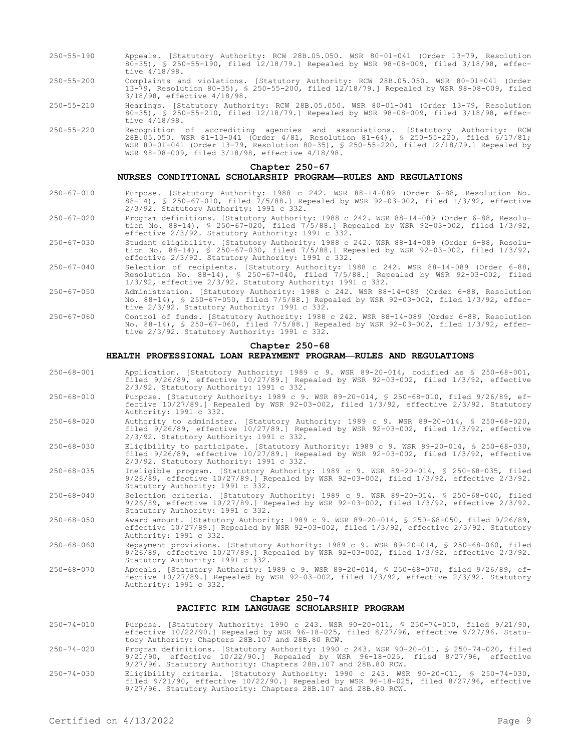- 250-55-190 Appeals. [Statutory Authority: RCW 28B.05.050. WSR 80-01-041 (Order 13-79, Resolution 80-35), § 250-55-190, filed 12/18/79.] Repealed by WSR 98-08-009, filed 3/18/98, effective 4/18/98.
- 250-55-200 Complaints and violations. [Statutory Authority: RCW 28B.05.050. WSR 80-01-041 (Order 13-79, Resolution 80-35), § 250-55-200, filed 12/18/79.] Repealed by WSR 98-08-009, filed 3/18/98, effective 4/18/98.
- 250-55-210 Hearings. [Statutory Authority: RCW 28B.05.050. WSR 80-01-041 (Order 13-79, Resolution 80-35), § 250-55-210, filed 12/18/79.] Repealed by WSR 98-08-009, filed 3/18/98, effective  $4/18/98$ .
- 250-55-220 Recognition of accrediting agencies and associations. [Statutory Authority: RCW 28B.05.050. WSR 81-13-041 (Order 4/81, Resolution 81-64), § 250-55-220, filed 6/17/81; WSR 80-01-041 (Order 13-79, Resolution 80-35), § 250-55-220, filed 12/18/79.] Repealed by WSR 98-08-009, filed 3/18/98, effective 4/18/98.

#### **Chapter 250-67**

### **NURSES CONDITIONAL SCHOLARSHIP PROGRAM—RULES AND REGULATIONS**

- 250-67-010 Purpose. [Statutory Authority: 1988 c 242. WSR 88-14-089 (Order 6-88, Resolution No. 88-14), § 250-67-010, filed 7/5/88.] Repealed by WSR 92-03-002, filed 1/3/92, effective 2/3/92. Statutory Authority: 1991 c 332.
- 250-67-020 Program definitions. [Statutory Authority: 1988 c 242. WSR 88-14-089 (Order 6-88, Resolution No. 88-14), § 250-67-020, filed 7/5/88.] Repealed by WSR 92-03-002, filed 1/3/92, effective 2/3/92. Statutory Authority: 1991 c 332.
- 250-67-030 Student eligibility. [Statutory Authority: 1988 c 242. WSR 88-14-089 (Order 6-88, Resolution No. 88-14), § 250-67-030, filed 7/5/88.] Repealed by WSR 92-03-002, filed 1/3/92, effective 2/3/92. Statutory Authority: 1991 c 332.
- 250-67-040 Selection of recipients. [Statutory Authority: 1988 c 242. WSR 88-14-089 (Order 6-88, Resolution No. 88-14), § 250-67-040, filed 7/5/88.] Repealed by WSR 92-03-002, filed 1/3/92, effective 2/3/92. Statutory Authority: 1991 c 332.
- 250-67-050 Administration. [Statutory Authority: 1988 c 242. WSR 88-14-089 (Order 6-88, Resolution No. 88-14), § 250-67-050, filed 7/5/88.] Repealed by WSR 92-03-002, filed 1/3/92, effective 2/3/92. Statutory Authority: 1991 c 332.
- 250-67-060 Control of funds. [Statutory Authority: 1988 c 242. WSR 88-14-089 (Order 6-88, Resolution No. 88-14), § 250-67-060, filed 7/5/88.] Repealed by WSR 92-03-002, filed 1/3/92, effective 2/3/92. Statutory Authority: 1991 c 332.

### **Chapter 250-68**

## **HEALTH PROFESSIONAL LOAN REPAYMENT PROGRAM—RULES AND REGULATIONS**

- 250-68-001 Application. [Statutory Authority: 1989 c 9. WSR 89-20-014, codified as § 250-68-001, filed 9/26/89, effective 10/27/89.] Repealed by WSR 92-03-002, filed 1/3/92, effective 2/3/92. Statutory Authority: 1991 c 332.
- 250-68-010 Purpose. [Statutory Authority: 1989 c 9. WSR 89-20-014, § 250-68-010, filed 9/26/89, effective 10/27/89.] Repealed by WSR 92-03-002, filed 1/3/92, effective 2/3/92. Statutory Authority: 1991 c 332.
- 250-68-020 Authority to administer. [Statutory Authority: 1989 c 9. WSR 89-20-014, § 250-68-020, filed 9/26/89, effective 10/27/89.] Repealed by WSR 92-03-002, filed 1/3/92, effective 2/3/92. Statutory Authority: 1991 c 332.
- 250-68-030 Eligibility to participate. [Statutory Authority: 1989 c 9. WSR 89-20-014, § 250-68-030, filed 9/26/89, effective 10/27/89.] Repealed by WSR 92-03-002, filed 1/3/92, effective 2/3/92. Statutory Authority: 1991 c 332.
- 250-68-035 Ineligible program. [Statutory Authority: 1989 c 9. WSR 89-20-014, § 250-68-035, filed 9/26/89, effective 10/27/89.] Repealed by WSR 92-03-002, filed 1/3/92, effective 2/3/92. Statutory Authority: 1991 c 332.
- 250-68-040 Selection criteria. [Statutory Authority: 1989 c 9. WSR 89-20-014, § 250-68-040, filed 9/26/89, effective 10/27/89.] Repealed by WSR 92-03-002, filed 1/3/92, effective 2/3/92. Statutory Authority: 1991 c 332.
- 250-68-050 Award amount. [Statutory Authority: 1989 c 9. WSR 89-20-014, § 250-68-050, filed 9/26/89, effective  $10/27/89$ .] Repealed by  $\bar{W}S$ R 92-03-002, filed  $1/3/92$ , effective  $2/3/92$ . Statutory Authority: 1991 c 332.
- 250-68-060 Repayment provisions. [Statutory Authority: 1989 c 9. WSR 89-20-014, § 250-68-060, filed 9/26/89, effective 10/27/89.] Repealed by WSR 92-03-002, filed 1/3/92, effective 2/3/92. Statutory Authority: 1991 c 332.
- 250-68-070 Appeals. [Statutory Authority: 1989 c 9. WSR 89-20-014, § 250-68-070, filed 9/26/89, effective 10/27/89.] Repealed by WSR 92-03-002, filed 1/3/92, effective 2/3/92. Statutory Authority: 1991 c 332.

## **Chapter 250-74 PACIFIC RIM LANGUAGE SCHOLARSHIP PROGRAM**

- 250-74-010 Purpose. [Statutory Authority: 1990 c 243. WSR 90-20-011, § 250-74-010, filed 9/21/90,<br>effective 10/22/90.] Repealed by WSR 96-18-025, filed 8/27/96, effective 9/27/96. Statu-<br>tory Authority: Chapters 28B.107 an
- 250-74-020 Program definitions. [Statutory Authority: 1990 c 243. WSR 90-20-011, § 250-74-020, filed 9/21/90, effective 10/22/90.] Repealed by WSR 96-18-025, filed 8/27/96, effective 9/27/96. Statutory Authority: Chapters 28B.107 and 28B.80 RCW.
- 250-74-030 Eligibility criteria. [Statutory Authority: 1990 c 243. WSR 90-20-011, § 250-74-030, filed 9/21/90, effective 10/22/90.] Repealed by WSR 96-18-025, filed 8/27/96, effective 9/27/96. Statutory Authority: Chapters 28B.107 and 28B.80 RCW.